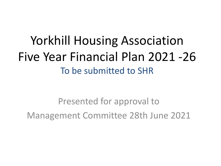### Yorkhill Housing Association Five Year Financial Plan 2021 -26 To be submitted to SHR

Presented for approval to Management Committee 28th June 2021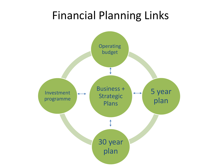### Financial Planning Links

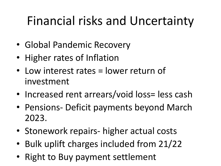# Financial risks and Uncertainty

- Global Pandemic Recovery
- Higher rates of Inflation
- Low interest rates = lower return of investment
- Increased rent arrears/void loss= less cash
- Pensions- Deficit payments beyond March 2023.
- Stonework repairs- higher actual costs
- Bulk uplift charges included from 21/22
- Right to Buy payment settlement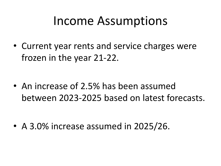### Income Assumptions

• Current year rents and service charges were frozen in the year 21-22.

• An increase of 2.5% has been assumed between 2023-2025 based on latest forecasts.

• A 3.0% increase assumed in 2025/26.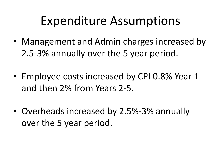### Expenditure Assumptions

- Management and Admin charges increased by 2.5-3% annually over the 5 year period.
- Employee costs increased by CPI 0.8% Year 1 and then 2% from Years 2-5.
- Overheads increased by 2.5%-3% annually over the 5 year period.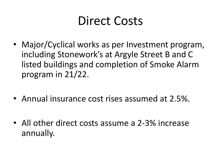### Direct Costs

- Major/Cyclical works as per Investment program, including Stonework's at Argyle Street B and C listed buildings and completion of Smoke Alarm program in 21/22.
- Annual insurance cost rises assumed at 2.5%.
- All other direct costs assume a 2-3% increase annually.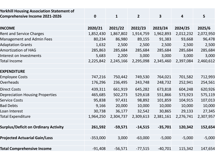| <b>Yorkhill Housing Association Statement of</b><br><b>Comprehensive Income 2021-2026</b> | $\mathbf 0$ | $\mathbf{1}$ | $\overline{2}$ | $\overline{\mathbf{3}}$ | $\overline{\mathbf{4}}$ | 5         |
|-------------------------------------------------------------------------------------------|-------------|--------------|----------------|-------------------------|-------------------------|-----------|
|                                                                                           |             |              |                |                         |                         |           |
| <b>INCOME</b>                                                                             | 2020/21     | 2021/22      | 2022/23        | 2023/24                 | 2024/25                 | 2025/6    |
| <b>Rent and Service Charges</b>                                                           | 1,852,430   | 1,867,802    | 1,914,759      | 1,962,893               | 2,012,232               | 2,072,950 |
| <b>Management and Admin Fees</b>                                                          | 80,234      | 86,980       | 89,155         | 91,383                  | 93,668                  | 96,478    |
| <b>Adaptation Grants</b>                                                                  | 1,632       | 2,500        | 2,500          | 2,500                   | 2,500                   | 2,500     |
| <b>Amortization of HAG</b>                                                                | 285,863     | 285,684      | 285,684        | 285,684                 | 285,684                 | 285,684   |
| Interest on Investments                                                                   | 5,683       | 2,200        | 3,000          | 3,000                   | 3,000                   | 3,000     |
| <b>Total Income</b>                                                                       | 2,225,842   | 2,245,166    | 2,295,098      | 2,345,460               | 2,397,084               | 2,460,612 |
| <b>EXPENDITURE</b>                                                                        |             |              |                |                         |                         |           |
| <b>Employee Costs</b>                                                                     | 747,216     | 750,442      | 749,530        | 764,021                 | 701,582                 | 712,993   |
| Overheads                                                                                 | 176,296     | 236,495      | 243,748        | 248,732                 | 252,941                 | 254,561   |
| <b>Direct Costs</b>                                                                       | 439,311     | 661,919      | 645,282        | 673,818                 | 604,248                 | 620,926   |
| <b>Depreciation Housing Properties</b>                                                    | 465,685     | 502,273      | 529,618        | 551,866                 | 573,923                 | 575,119   |
| <b>Service Costs</b>                                                                      | 95,838      | 97,431       | 98,892         | 101,859                 | 104,915                 | 107,013   |
| <b>Bad Debts</b>                                                                          | 9,166       | 20,000       | 10,000         | 10,000                  | 10,000                  | 10,000    |
| Loan Interest                                                                             | 30,738      | 36,177       | 32,542         | 30,865                  | 29,133                  | 27,345    |
| <b>Total Expenditure</b>                                                                  | 1,964,250   | 2,304,737    | 2,309,613      | 2,381,161               | 2,276,741               | 2,307,957 |
|                                                                                           |             |              |                |                         |                         |           |
| <b>Surplus/Deficit on Ordinary Activity</b>                                               | 261,592     | $-59,571$    | $-14,515$      | $-35,701$               | 120,342                 | 152,654   |
| <b>Projected Actuarial Gain/Loss</b>                                                      | $-353,000$  | 3,000        | $-63,000$      | $-5,000$                | $-5,000$                | $-5,000$  |
| <b>Total Comprehensive Income</b>                                                         | $-91,408$   | $-56,571$    | $-77,515$      | $-40,701$               | 115,342                 | 147,654   |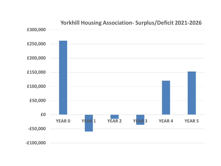

#### **Yorkhill Housing Association- Surplus/Deficit 2021-2026**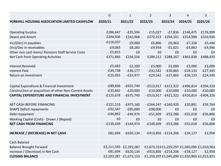|                                                         | $\mathbf 0$ | $\mathbf{1}$          | $\overline{2}$ | 3                      | 4                             | 5                                           |
|---------------------------------------------------------|-------------|-----------------------|----------------|------------------------|-------------------------------|---------------------------------------------|
| YORKHILL HOUSING ASSOCIATION LIMITED CASHFLOW           | 2020/21     | 2021/22               | 2022/23        | 2023/24                | 2024/25                       | 2025/26                                     |
|                                                         |             |                       |                |                        |                               |                                             |
| <b>Operating Surplus</b>                                | £286,647    | $-E25,594$            | £15,027        | $-E7,836$              | £146,475                      | £176,999                                    |
| Depcn and Amort                                         | £204,506    | £242,968              | £272,313       | £294,161               | £314,908                      | £310,936                                    |
| Inc/(Dec) in payables                                   | $-£116,037$ | £9,000                | £6,806         | £6,963                 | £7,318                        | £5,446                                      |
| (Inc)/Dec in receivables                                | $-£9,065$   | £8,183                | $-£4,934$      | $-£5,021$              | $-£4,863$                     | $-£4,946$                                   |
| Other non cash items/ Pensions Staff Service Costs      | £5,815      | £0                    | £0             | £0                     | £0                            | £0                                          |
| Net Cash from Operating Activities                      | £371,866    | £234,556              | £289,212       | £288,267               | £463,838                      | £488,435                                    |
| <b>Interest Received</b>                                | £5,683      | £2,200                | £3,000         | £3,000                 | £3,000                        | £3,000                                      |
| <b>Interest Paid</b>                                    | $-£30,738$  | $-E36,177$            | $-E32,542$     | $-£30,865$             | $-E29,133$                    | $-E27,345$                                  |
| Return on Investment                                    | $-E25,055$  | $-E33,977$            | $-E29,542$     | $-E27,865$             | $-E26,133$                    | $-E24,345$                                  |
|                                                         |             |                       |                |                        |                               |                                             |
| Capital Expenditure & Financial Investment              | $-E89,836$  | $-£655,740$           |                |                        | -£513,917 -£411,322 -£406,814 | $-£394,326$                                 |
| Construction or acquisition of other Non-Current Assets | $-£35,842$  | $-E20,000$            | $-£10,000$     | $-£10,000$             | $-£10,000$                    | $-E10,000$                                  |
| <b>CAPITAL EXPENDITURE AND FINANCIAL INVESTMENT</b>     | $-£125,678$ | $-£675,740$           |                | $-E523,917 - E421,322$ | $-£416,814$                   | $-£404,326$                                 |
| <b>NET CASH BEFORE FINANCING</b>                        | £221,133    | $-£475,160$           |                | $-E264,247 - E160,920$ | £20,891                       | £59,764                                     |
| <b>SHAPS Deficit repayments</b>                         | $-E92,547$  | $-£95,000$            | $-£98,000$     | £0                     | £0                            | £0                                          |
| Debt repayment                                          | $-£46,892$  | $-E49,974$            |                | $-E51,609$ $-E53,286$  | $-£55,018$                    | $-£56,806$                                  |
| Working Capital (Cash) - Drawn / (Repaid)               | £0          | £0                    | £0             | £0                     | £0                            | £0                                          |
| <b>NET CASH FROM FINANCING</b>                          | $-£139,439$ | $-£144,974$           | $-£149,609$    | $-£53,286$             | $-£55,018$                    | $-£56,806$                                  |
| <b>INCREASE / (DECREASE) IN NET CASH</b>                | £81,694     | $-£620,134$           |                | $-E413,856 - E214,206$ | $-£34,127$                    | £2,958                                      |
| Cash Balance                                            |             |                       |                |                        |                               |                                             |
| <b>Balance Brought Forward</b>                          |             | £2,211,593 £2,293,287 |                |                        |                               | £1,673,153 £1,259,297 £1,045,090 £1,010,963 |
| Increase / (Decrease) in Net Cash                       | £81,694     | $-£620,134$           |                | $-E413,856 - E214,206$ | $-£34,127$                    | £2,958                                      |
| <b>CLOSING BALANCE</b>                                  |             | £2,293,287 £1,673,153 |                |                        |                               | £1,259,297 £1,045,090 £1,010,963 £1,013,921 |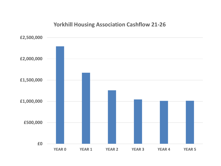#### **Yorkhill Housing Association Cashflow 21-26**

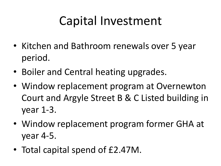## Capital Investment

- Kitchen and Bathroom renewals over 5 year period.
- Boiler and Central heating upgrades.
- Window replacement program at Overnewton Court and Argyle Street B & C Listed building in year 1-3.
- Window replacement program former GHA at year 4-5.
- Total capital spend of £2.47M.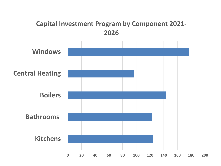### **Capital Investment Program by Component 2021- 2026**

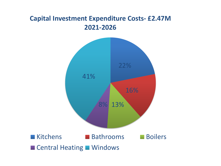### **Capital Investment Expenditure Costs- £2.47M 2021-2026**

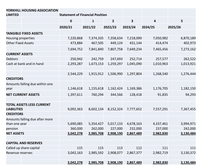| YORKHILL HOUSING ASSOCIATION<br><b>LIMITED</b>         | <b>Statement of Financial Position</b> |              |                |                         |           |           |
|--------------------------------------------------------|----------------------------------------|--------------|----------------|-------------------------|-----------|-----------|
|                                                        | $\bf{0}$                               | $\mathbf{1}$ | $\overline{2}$ | $\overline{\mathbf{3}}$ | 4         | 5         |
|                                                        | 2020/21                                | 2021/22      | 2022/23        | 2023/24                 | 2024/25   | 2025/26   |
| <b>TANGIBLE FIXED ASSETS</b>                           |                                        |              |                |                         |           |           |
| Housing properties                                     | 7,220,868                              | 7,374,335    | 7,358,634      | 7,218,090               | 7,050,982 | 6,870,189 |
| <b>Other Fixed Assets</b>                              | 473,884                                | 467,505      | 449,124        | 431,144                 | 414,474   | 402,973   |
|                                                        | 7,694,752                              | 7,841,840    | 7,807,758      | 7,649,234               | 7,465,456 | 7,273,162 |
| <b>CURRENT ASSETS</b>                                  |                                        |              |                |                         |           |           |
| <b>Debtors</b>                                         | 250,942                                | 242,759      | 247,693        | 252,714                 | 257,577   | 262,522   |
| Cash at bank and in hand                               | 2,293,287                              | 1,673,153    | 1,259,297      | 1,045,090               | 1,010,963 | 1,013,921 |
|                                                        |                                        |              |                |                         |           |           |
|                                                        | 2,544,229                              | 1,915,912    | 1,506,990      | 1,297,804               | 1,268,540 | 1,276,444 |
| <b>CREDITORS</b>                                       |                                        |              |                |                         |           |           |
| Amounts falling due within one                         |                                        |              |                |                         |           |           |
| year                                                   | 1,146,618                              | 1,155,618    | 1,162,424      | 1,169,386               | 1,176,705 | 1,182,150 |
| <b>NET CURRENT ASSETS</b>                              | 1,397,611                              | 760,294      | 344,566        | 128,418                 | 91,835    | 94,293    |
|                                                        |                                        |              |                |                         |           |           |
| <b>TOTAL ASSETS LESS CURRENT</b><br><b>LIABILITIES</b> | 9,092,363                              | 8,602,134    | 8,152,324      | 7,777,652               | 7,557,291 | 7,367,455 |
| <b>CREDITORS</b>                                       |                                        |              |                |                         |           |           |
| Amounts falling due after more                         |                                        |              |                |                         |           |           |
| than one year                                          | 5,690,085                              | 5,354,427    | 5,017,133      | 4,678,163               | 4,337,461 | 3,994,971 |
| pension                                                | 360,000                                | 262,000      | 227,000        | 232,000                 | 237,000   | 242,000   |
| <b>NET ASSETS</b>                                      | 3,042,278                              | 2,985,708    | 2,908,190      | 2,867,489               | 2,982,830 | 3,130,484 |
| <b>CAPITAL AND RESERVES</b>                            |                                        |              |                |                         |           |           |
| Called up share capital                                | 115                                    | 115          | 113            | 112                     | 111       | 111       |
| Revenue reserves                                       | 3,042,163                              | 2,985,592    | 2,908,077      | 2,867,377               | 2,982,719 | 3,130,372 |
|                                                        |                                        |              |                |                         |           |           |
|                                                        | 3,042,278                              | 2,985,708    | 2,908,190      | 2,867,489               | 2,982,830 | 3,130,484 |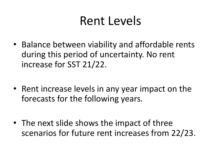### Rent Levels

- Balance between viability and affordable rents during this period of uncertainty. No rent increase for SST 21/22.
- Rent increase levels in any year impact on the forecasts for the following years.
- The next slide shows the impact of three scenarios for future rent increases from 22/23.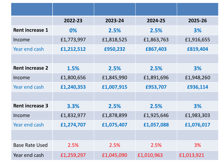|                        | 2022-23    | 2023-24    | 2024-25    | 2025-26    |  |
|------------------------|------------|------------|------------|------------|--|
| <b>Rent increase 1</b> | $0\%$      | 2.5%       | 2.5%       | 3%         |  |
| Income                 | £1,773,997 | £1,818,525 | £1,863,763 | £1,916,655 |  |
| Year end cash          | £1,212,512 | £950,232   | £867,403   | £819,404   |  |
|                        |            |            |            |            |  |
| <b>Rent increase 2</b> | 1.5%       | 2.5%       | 2.5%       | 3%         |  |
| Income                 | £1,800,656 | £1,845,990 | £1,891,696 | £1,948,260 |  |
| Year end cash          | £1,240,353 | £1,007,915 | £953,707   | £936,114   |  |
|                        |            |            |            |            |  |
| <b>Rent increase 3</b> | 3.3%       | 2.5%       | 2.5%       | 3%         |  |
| Income                 | £1,832,977 | £1,878,899 | £1,925,646 | £1,983,303 |  |
| Year end cash          | £1,274,707 | £1,075,407 | £1,057,088 | £1,076,017 |  |
|                        |            |            |            |            |  |
| <b>Base Rate Used</b>  | 2.5%       | 2.5%       | 2.5%       | 3%         |  |
| Year end cash          | £1,259,297 | £1,045,090 | £1,010,963 | £1,013,921 |  |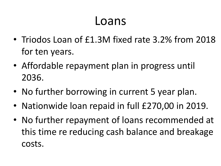### Loans

- Triodos Loan of £1.3M fixed rate 3.2% from 2018 for ten years.
- Affordable repayment plan in progress until 2036.
- No further borrowing in current 5 year plan.
- Nationwide loan repaid in full £270,00 in 2019.
- No further repayment of loans recommended at this time re reducing cash balance and breakage costs.